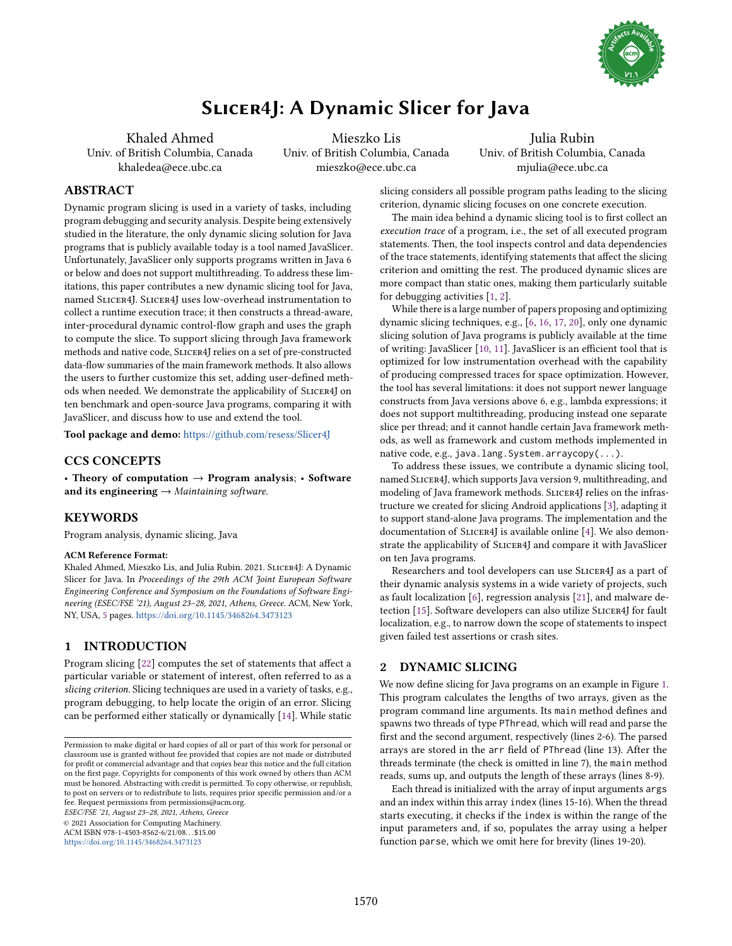

# Slicer4J: A Dynamic Slicer for Java

Khaled Ahmed Univ. of British Columbia, Canada khaledea@ece.ubc.ca

Mieszko Lis Univ. of British Columbia, Canada mieszko@ece.ubc.ca

Julia Rubin Univ. of British Columbia, Canada mjulia@ece.ubc.ca

# ABSTRACT

Dynamic program slicing is used in a variety of tasks, including program debugging and security analysis. Despite being extensively studied in the literature, the only dynamic slicing solution for Java programs that is publicly available today is a tool named JavaSlicer. Unfortunately, JavaSlicer only supports programs written in Java 6 or below and does not support multithreading. To address these limitations, this paper contributes a new dynamic slicing tool for Java, named Slicer4J. Slicer4J uses low-overhead instrumentation to collect a runtime execution trace; it then constructs a thread-aware, inter-procedural dynamic control-flow graph and uses the graph to compute the slice. To support slicing through Java framework methods and native code, Slicer4J relies on a set of pre-constructed data-flow summaries of the main framework methods. It also allows the users to further customize this set, adding user-defined methods when needed. We demonstrate the applicability of Slicer4J on ten benchmark and open-source Java programs, comparing it with JavaSlicer, and discuss how to use and extend the tool.

Tool package and demo: https://github.[com/resess/Slicer4J](https://github.com/resess/Slicer4J)

# CCS CONCEPTS

• Theory of computation  $\rightarrow$  Program analysis; • Software and its engineering  $\rightarrow$  Maintaining software.

# **KEYWORDS**

Program analysis, dynamic slicing, Java

#### ACM Reference Format:

Khaled Ahmed, Mieszko Lis, and Julia Rubin. 2021. SLICER4J: A Dynamic Slicer for Java. In Proceedings of the 29th ACM Joint European Software Engineering Conference and Symposium on the Foundations of Software Engineering (ESEC/FSE '21), August 23-28, 2021, Athens, Greece. ACM, New York, NY, USA, [5](#page-4-0) pages. https://doi.org/10.[1145/3468264](https://doi.org/10.1145/3468264.3473123).3473123

# <span id="page-0-0"></span>1 INTRODUCTION

Program slicing [\[22\]](#page-4-1) computes the set of statements that affect a particular variable or statement of interest, often referred to as a slicing criterion. Slicing techniques are used in a variety of tasks, e.g., program debugging, to help locate the origin of an error. Slicing can be performed either statically or dynamically [\[14\]](#page-4-2). While static

ESEC/FSE '21, August 23-28, 2021, Athens, Greece

© 2021 Association for Computing Machinery.

ACM ISBN 978-1-4503-8562-6/21/08. . . \$15.00 https://doi.org/10.[1145/3468264](https://doi.org/10.1145/3468264.3473123).3473123

slicing considers all possible program paths leading to the slicing criterion, dynamic slicing focuses on one concrete execution.

The main idea behind a dynamic slicing tool is to first collect an execution trace of a program, i.e., the set of all executed program statements. Then, the tool inspects control and data dependencies of the trace statements, identifying statements that affect the slicing criterion and omitting the rest. The produced dynamic slices are more compact than static ones, making them particularly suitable for debugging activities [\[1,](#page-4-3) [2\]](#page-4-4).

While there is a large number of papers proposing and optimizing dynamic slicing techniques, e.g., [\[6,](#page-4-5) [16,](#page-4-6) [17,](#page-4-7) [20\]](#page-4-8), only one dynamic slicing solution of Java programs is publicly available at the time of writing: JavaSlicer [\[10,](#page-4-9) [11\]](#page-4-10). JavaSlicer is an efficient tool that is optimized for low instrumentation overhead with the capability of producing compressed traces for space optimization. However, the tool has several limitations: it does not support newer language constructs from Java versions above 6, e.g., lambda expressions; it does not support multithreading, producing instead one separate slice per thread; and it cannot handle certain Java framework methods, as well as framework and custom methods implemented in native code, e.g., java.lang.System.arraycopy(...).

To address these issues, we contribute a dynamic slicing tool, named Slicer4J, which supports Java version 9, multithreading, and modeling of Java framework methods. SLICER4J relies on the infrastructure we created for slicing Android applications [\[3\]](#page-4-11), adapting it to support stand-alone Java programs. The implementation and the documentation of SLICER4J is available online [\[4\]](#page-4-12). We also demonstrate the applicability of SLICER4J and compare it with JavaSlicer on ten Java programs.

Researchers and tool developers can use Slicer4J as a part of their dynamic analysis systems in a wide variety of projects, such as fault localization [\[6\]](#page-4-5), regression analysis [\[21\]](#page-4-13), and malware de-tection [\[15\]](#page-4-14). Software developers can also utilize SLICER4J for fault localization, e.g., to narrow down the scope of statements to inspect given failed test assertions or crash sites.

# 2 DYNAMIC SLICING

We now define slicing for Java programs on an example in Figure [1.](#page-1-0) This program calculates the lengths of two arrays, given as the program command line arguments. Its main method defines and spawns two threads of type PThread, which will read and parse the first and the second argument, respectively (lines 2-6). The parsed arrays are stored in the arr field of PThread (line 13). After the threads terminate (the check is omitted in line 7), the main method reads, sums up, and outputs the length of these arrays (lines 8-9).

Each thread is initialized with the array of input arguments args and an index within this array index (lines 15-16). When the thread starts executing, it checks if the index is within the range of the input parameters and, if so, populates the array using a helper function parse, which we omit here for brevity (lines 19-20).

Permission to make digital or hard copies of all or part of this work for personal or classroom use is granted without fee provided that copies are not made or distributed for profit or commercial advantage and that copies bear this notice and the full citation on the first page. Copyrights for components of this work owned by others than ACM must be honored. Abstracting with credit is permitted. To copy otherwise, or republish, to post on servers or to redistribute to lists, requires prior specific permission and/or a fee. Request permissions from permissions@acm.org.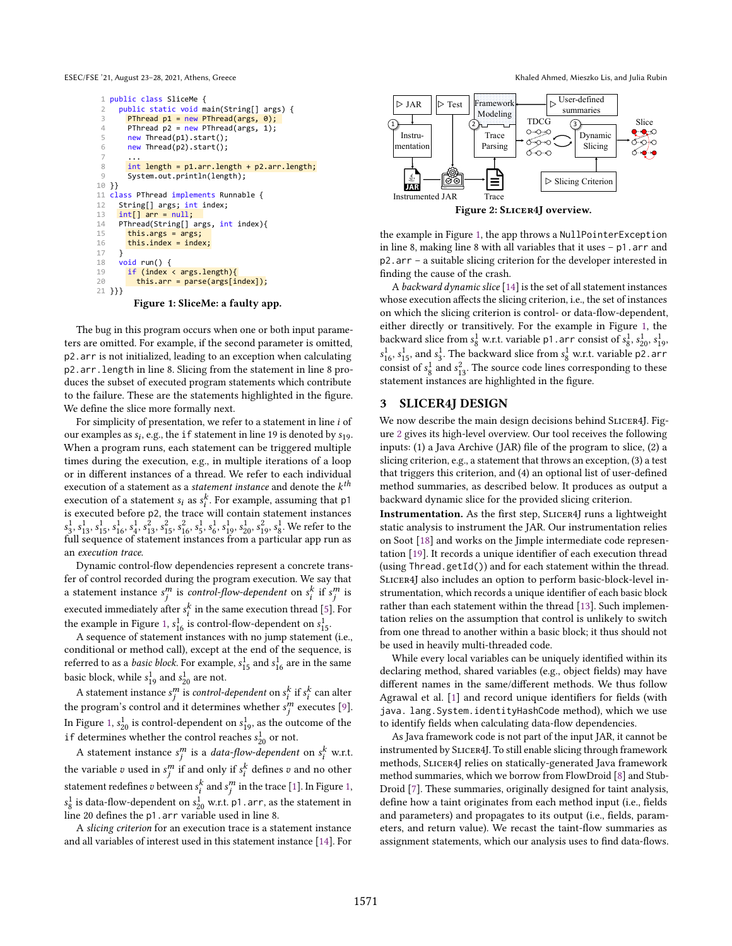<span id="page-1-0"></span>ESEC/FSE '21, August 23-28, 2021, Athens, Greece Khaled Ahmed, Mieszko Lis, and Julia Rubin



Figure 1: SliceMe: a faulty app.

The bug in this program occurs when one or both input parameters are omitted. For example, if the second parameter is omitted, p2.arr is not initialized, leading to an exception when calculating p2.arr.length in line 8. Slicing from the statement in line 8 produces the subset of executed program statements which contribute to the failure. These are the statements highlighted in the figure. We define the slice more formally next.

For simplicity of presentation, we refer to a statement in line  $i$  of our examples as  $s_i$ , e.g., the if statement in line 19 is denoted by  $s_1$ <sup>9</sup>. When a program runs, each statement can be triggered multiple times during the execution, e.g., in multiple iterations of a loop or in different instances of a thread. We refer to each individual execution of a statement as a *statement instance* and denote the  $k^{th}$ execution of a statement  $s_i$  as  $s_i^k$ . For example, assuming that p1 is executed before p2, the trace will contain statement instances  $s_3^1, s_{13}^1, s_{15}^1, s_{16}^1, s_4^2, s_{13}^2, s_{15}^2, s_6^2, s_5^1, s_6^1, s_{19}^1, s_{20}^1, s_4^2, s_8^1$ . We refer to the full sequence of statement instances from a particular app run as an execution trace.

Dynamic control-flow dependencies represent a concrete transfer of control recorded during the program execution. We say that a statement instance  $s_j^m$  is control-flow-dependent on  $s_i^k$  if  $s_j^m$  is executed immediately after  $s_i^k$  in the same execution thread [\[5\]](#page-4-15). For the example in Figure [1,](#page-1-0)  $s_{16}^1$  is control-flow-dependent on  $s_{15}^1$ .

A sequence of statement instances with no jump statement (i.e., conditional or method call), except at the end of the sequence, is referred to as a *basic block*. For example,  $s_{15}^1$  and  $s_{16}^1$  are in the same basic block, while  $s_{19}^1$  and  $s_{20}^1$  are not.

A statement instance  $s_j^m$  is *control-dependent* on  $s_i^k$  if  $s_i^k$  can alter the program's control and it determines whether  $s_j^m$  executes [\[9\]](#page-4-16). In Figure [1,](#page-1-0)  $s_{20}^1$  is control-dependent on  $s_{19}^1$ , as the outcome of the if determines whether the control reaches  $s_{20}^1$  or not.

A statement instance  $s_j^m$  is a *data-flow-dependent* on  $s_i^k$  w.r.t. the variable  $v$  used in  $s_j^m$  if and only if  $s_i^k$  defines  $v$  and no other statement redefines  $v$  between  $s_i^k$  and  $s_j^m$  in the trace [\[1\]](#page-4-3). In Figure [1,](#page-1-0)  $s_8^1$  is data-flow-dependent on  $s_{20}^1$  w.r.t. p1. arr, as the statement in line 20 defines the p1.arr variable used in line 8.

A slicing criterion for an execution trace is a statement instance and all variables of interest used in this statement instance [\[14\]](#page-4-2). For

<span id="page-1-1"></span>

the example in Figure [1,](#page-1-0) the app throws a NullPointerException in line 8, making line 8 with all variables that it uses  $- p1$ . arr and p2.arr - a suitable slicing criterion for the developer interested in finding the cause of the crash.

A backward dynamic slice [\[14\]](#page-4-2) is the set of all statement instances whose execution affects the slicing criterion, i.e., the set of instances on which the slicing criterion is control- or data-flow-dependent, either directly or transitively. For the example in Figure [1,](#page-1-0) the backward slice from  $s_8^1$  w.r.t. variable p1.arr consist of  $s_8^1$ ,  $s_{20}^1$ ,  $s_{19}^1$ ,  $s_{16}^1$ ,  $s_{15}^1$ , and  $s_3^1$ . The backward slice from  $s_8^1$  w.r.t. variable p2. arr consist of  $s_8^1$  and  $s_{13}^2$ . The source code lines corresponding to these statement instances are highlighted in the figure.

#### 3 SLICER4J DESIGN

We now describe the main design decisions behind SLICER4J. Figure [2](#page-1-1) gives its high-level overview. Our tool receives the following inputs: (1) a Java Archive (JAR) file of the program to slice, (2) a slicing criterion, e.g., a statement that throws an exception, (3) a test that triggers this criterion, and (4) an optional list of user-defined method summaries, as described below. It produces as output a backward dynamic slice for the provided slicing criterion.

Instrumentation. As the first step, Slicer4J runs a lightweight static analysis to instrument the JAR. Our instrumentation relies on Soot [\[18\]](#page-4-17) and works on the Jimple intermediate code representation [\[19\]](#page-4-18). It records a unique identifier of each execution thread (using Thread.getId()) and for each statement within the thread. Slicer4J also includes an option to perform basic-block-level instrumentation, which records a unique identifier of each basic block rather than each statement within the thread [\[13\]](#page-4-19). Such implementation relies on the assumption that control is unlikely to switch from one thread to another within a basic block; it thus should not be used in heavily multi-threaded code.

While every local variables can be uniquely identified within its declaring method, shared variables (e.g., object fields) may have different names in the same/different methods. We thus follow Agrawal et al. [\[1\]](#page-4-3) and record unique identifiers for fields (with java. lang.System.identityHashCode method), which we use to identify fields when calculating data-flow dependencies.

As Java framework code is not part of the input JAR, it cannot be instrumented by Slicer4J. To still enable slicing through framework methods, Slicer4J relies on statically-generated Java framework method summaries, which we borrow from FlowDroid [\[8\]](#page-4-20) and Stub-Droid [\[7\]](#page-4-21). These summaries, originally designed for taint analysis, define how a taint originates from each method input (i.e., fields and parameters) and propagates to its output (i.e., fields, parameters, and return value). We recast the taint-flow summaries as assignment statements, which our analysis uses to find data-flows.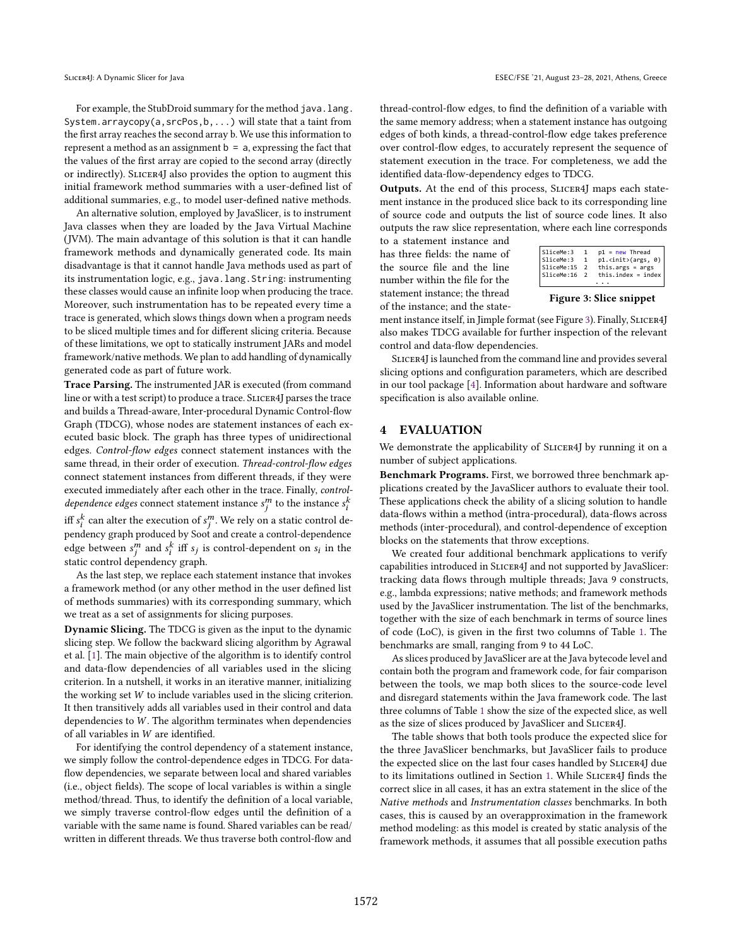For example, the StubDroid summary for the method java.lang. System.arraycopy(a,srcPos,b,...) will state that a taint from the first array reaches the second array b. We use this information to represent a method as an assignment  $b = a$ , expressing the fact that the values of the first array are copied to the second array (directly or indirectly). Slicer4J also provides the option to augment this initial framework method summaries with a user-defined list of additional summaries, e.g., to model user-defined native methods.

An alternative solution, employed by JavaSlicer, is to instrument Java classes when they are loaded by the Java Virtual Machine (JVM). The main advantage of this solution is that it can handle framework methods and dynamically generated code. Its main disadvantage is that it cannot handle Java methods used as part of its instrumentation logic, e.g., java.lang.String: instrumenting these classes would cause an infinite loop when producing the trace. Moreover, such instrumentation has to be repeated every time a trace is generated, which slows things down when a program needs to be sliced multiple times and for different slicing criteria. Because of these limitations, we opt to statically instrument JARs and model framework/native methods. We plan to add handling of dynamically generated code as part of future work.

Trace Parsing. The instrumented JAR is executed (from command line or with a test script) to produce a trace. SLICER4J parses the trace and builds a Thread-aware, Inter-procedural Dynamic Control-flow Graph (TDCG), whose nodes are statement instances of each executed basic block. The graph has three types of unidirectional edges. Control-flow edges connect statement instances with the same thread, in their order of execution. Thread-control-flow edges connect statement instances from different threads, if they were executed immediately after each other in the trace. Finally, control*dependence edges* connect statement instance  $s_j^m$  to the instance  $s_i^k$ iff  $s_i^k$  can alter the execution of  $s_j^m$ . We rely on a static control dependency graph produced by Soot and create a control-dependence edge between  $s_j^m$  and  $s_i^k$  iff  $s_j$  is control-dependent on  $s_i$  in the static control dependency graph.

As the last step, we replace each statement instance that invokes a framework method (or any other method in the user defined list of methods summaries) with its corresponding summary, which we treat as a set of assignments for slicing purposes.

Dynamic Slicing. The TDCG is given as the input to the dynamic slicing step. We follow the backward slicing algorithm by Agrawal et al. [\[1\]](#page-4-3). The main objective of the algorithm is to identify control and data-flow dependencies of all variables used in the slicing criterion. In a nutshell, it works in an iterative manner, initializing the working set  $W$  to include variables used in the slicing criterion. It then transitively adds all variables used in their control and data dependencies to  $W$ . The algorithm terminates when dependencies of all variables in  $W$  are identified.

For identifying the control dependency of a statement instance, we simply follow the control-dependence edges in TDCG. For dataflow dependencies, we separate between local and shared variables (i.e., object fields). The scope of local variables is within a single method/thread. Thus, to identify the definition of a local variable, we simply traverse control-flow edges until the definition of a variable with the same name is found. Shared variables can be read/ written in different threads. We thus traverse both control-flow and

thread-control-flow edges, to find the definition of a variable with the same memory address; when a statement instance has outgoing edges of both kinds, a thread-control-flow edge takes preference over control-flow edges, to accurately represent the sequence of statement execution in the trace. For completeness, we add the identified data-flow-dependency edges to TDCG.

Outputs. At the end of this process, Slicer4J maps each statement instance in the produced slice back to its corresponding line of source code and outputs the list of source code lines. It also outputs the raw slice representation, where each line corresponds

to a statement instance and has three fields: the name of the source file and the line number within the file for the statement instance; the thread of the instance; and the state-

<span id="page-2-0"></span>

| SliceMe:3<br>1<br>SliceMe:15<br>this.args = $args$<br>$\overline{2}$<br>SliceMe:16<br>$\overline{2}$ | SliceMe:3 | 1. | $p1 = new Thread$<br>p1. <init>(args, 0)<br/><math>this.index = index</math></init> |
|------------------------------------------------------------------------------------------------------|-----------|----|-------------------------------------------------------------------------------------|
|------------------------------------------------------------------------------------------------------|-----------|----|-------------------------------------------------------------------------------------|

Figure 3: Slice snippet

ment instance itself, in Jimple format (see Figure [3\)](#page-2-0). Finally, SLICER4J also makes TDCG available for further inspection of the relevant control and data-flow dependencies.

Slicer4J is launched from the command line and provides several slicing options and configuration parameters, which are described in our tool package [\[4\]](#page-4-12). Information about hardware and software specification is also available online.

#### 4 EVALUATION

We demonstrate the applicability of SLICER4J by running it on a number of subject applications.

Benchmark Programs. First, we borrowed three benchmark applications created by the JavaSlicer authors to evaluate their tool. These applications check the ability of a slicing solution to handle data-flows within a method (intra-procedural), data-flows across methods (inter-procedural), and control-dependence of exception blocks on the statements that throw exceptions.

We created four additional benchmark applications to verify capabilities introduced in Slicer4J and not supported by JavaSlicer: tracking data flows through multiple threads; Java 9 constructs, e.g., lambda expressions; native methods; and framework methods used by the JavaSlicer instrumentation. The list of the benchmarks, together with the size of each benchmark in terms of source lines of code (LoC), is given in the first two columns of Table [1.](#page-3-0) The benchmarks are small, ranging from 9 to 44 LoC.

As slices produced by JavaSlicer are at the Java bytecode level and contain both the program and framework code, for fair comparison between the tools, we map both slices to the source-code level and disregard statements within the Java framework code. The last three columns of Table [1](#page-3-0) show the size of the expected slice, as well as the size of slices produced by JavaSlicer and SLICER4J.

The table shows that both tools produce the expected slice for the three JavaSlicer benchmarks, but JavaSlicer fails to produce the expected slice on the last four cases handled by SLICER4J due to its limitations outlined in Section [1.](#page-0-0) While SLICER4J finds the correct slice in all cases, it has an extra statement in the slice of the Native methods and Instrumentation classes benchmarks. In both cases, this is caused by an overapproximation in the framework method modeling: as this model is created by static analysis of the framework methods, it assumes that all possible execution paths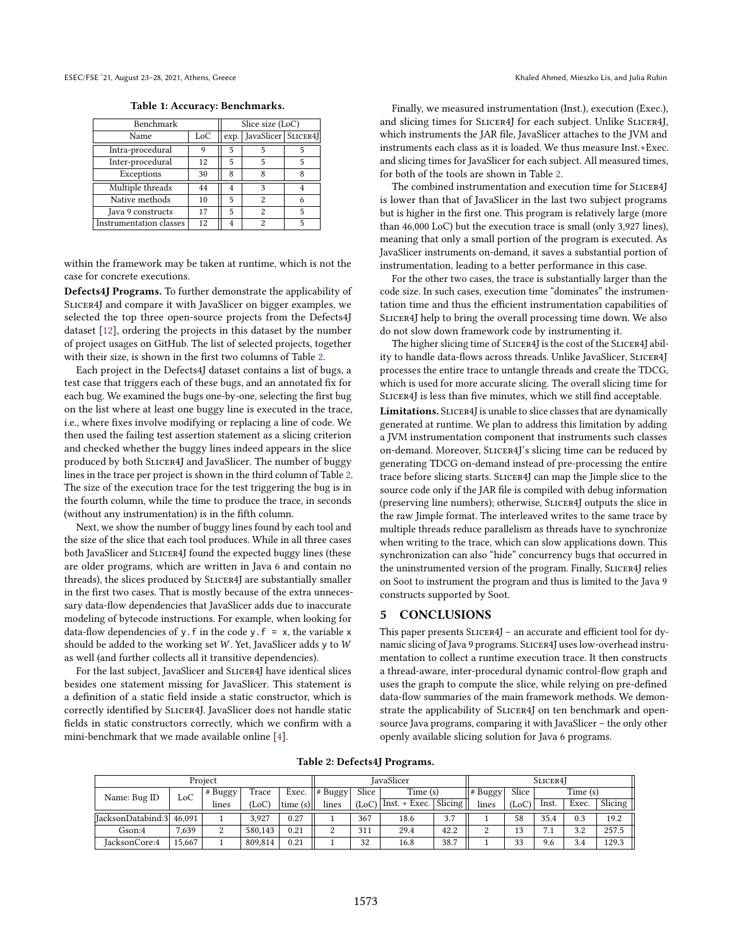<span id="page-3-0"></span>ESEC/FSE '21, August 23-28, 2021, Athens, Greece Khaled Ahmed, Mieszko Lis, and Julia Rubin

Table 1: Accuracy: Benchmarks.

| Benchmark               | Slice size (LoC) |   |                            |   |  |  |
|-------------------------|------------------|---|----------------------------|---|--|--|
| Name                    | LoC              |   | exp. JavaSlicer   SLICER4J |   |  |  |
| Intra-procedural        | 9                | 5 |                            |   |  |  |
| Inter-procedural        | 12               | 5 | 5                          | 5 |  |  |
| Exceptions              | 30               | 8 | ጰ                          | Ջ |  |  |
| Multiple threads        | 44               |   | 3                          |   |  |  |
| Native methods          | 10               | 5 | 2                          |   |  |  |
| Java 9 constructs       | 17               | 5 | 2                          |   |  |  |
| Instrumentation classes | 12               |   | 2                          | 5 |  |  |

within the framework may be taken at runtime, which is not the case for concrete executions.

Defects4J Programs. To further demonstrate the applicability of SLICER4J and compare it with JavaSlicer on bigger examples, we selected the top three open-source projects from the Defects4J dataset [\[12\]](#page-4-22), ordering the projects in this dataset by the number of project usages on GitHub. The list of selected projects, together with their size, is shown in the first two columns of Table [2.](#page-3-1)

Each project in the Defects4J dataset contains a list of bugs, a test case that triggers each of these bugs, and an annotated fix for each bug. We examined the bugs one-by-one, selecting the first bug on the list where at least one buggy line is executed in the trace, i.e., where fixes involve modifying or replacing a line of code. We then used the failing test assertion statement as a slicing criterion and checked whether the buggy lines indeed appears in the slice produced by both SLICER4J and JavaSlicer. The number of buggy lines in the trace per project is shown in the third column of Table [2.](#page-3-1) The size of the execution trace for the test triggering the bug is in the fourth column, while the time to produce the trace, in seconds (without any instrumentation) is in the fifth column.

Next, we show the number of buggy lines found by each tool and the size of the slice that each tool produces. While in all three cases both JavaSlicer and SLICER4J found the expected buggy lines (these are older programs, which are written in Java 6 and contain no threads), the slices produced by Slicer4J are substantially smaller in the first two cases. That is mostly because of the extra unnecessary data-flow dependencies that JavaSlicer adds due to inaccurate modeling of bytecode instructions. For example, when looking for data-flow dependencies of y. f in the code y.  $f = x$ , the variable x should be added to the working set  $W$ . Yet, JavaSlicer adds y to  $W$ as well (and further collects all it transitive dependencies).

For the last subject, JavaSlicer and SLICER4J have identical slices besides one statement missing for JavaSlicer. This statement is a definition of a static field inside a static constructor, which is correctly identified by SLICER4J. JavaSlicer does not handle static fields in static constructors correctly, which we confirm with a mini-benchmark that we made available online [\[4\]](#page-4-12).

Finally, we measured instrumentation (Inst.), execution (Exec.), and slicing times for SLICER4J for each subject. Unlike SLICER4J, which instruments the JAR file, JavaSlicer attaches to the JVM and instruments each class as it is loaded. We thus measure Inst.+Exec. and slicing times for JavaSlicer for each subject. All measured times, for both of the tools are shown in Table [2.](#page-3-1)

The combined instrumentation and execution time for SLICER4J is lower than that of JavaSlicer in the last two subject programs but is higher in the first one. This program is relatively large (more than 46,000 LoC) but the execution trace is small (only 3,927 lines), meaning that only a small portion of the program is executed. As JavaSlicer instruments on-demand, it saves a substantial portion of instrumentation, leading to a better performance in this case.

For the other two cases, the trace is substantially larger than the code size. In such cases, execution time "dominates" the instrumentation time and thus the efficient instrumentation capabilities of Slicer4J help to bring the overall processing time down. We also do not slow down framework code by instrumenting it.

The higher slicing time of SLICER4J is the cost of the SLICER4J ability to handle data-flows across threads. Unlike JavaSlicer, SLICER4J processes the entire trace to untangle threads and create the TDCG, which is used for more accurate slicing. The overall slicing time for SLICER4J is less than five minutes, which we still find acceptable.

Limitations. SLICER4J is unable to slice classes that are dynamically generated at runtime. We plan to address this limitation by adding a JVM instrumentation component that instruments such classes on-demand. Moreover, SLICER4J's slicing time can be reduced by generating TDCG on-demand instead of pre-processing the entire trace before slicing starts. Slicer4J can map the Jimple slice to the source code only if the JAR file is compiled with debug information (preserving line numbers); otherwise, Slicer4J outputs the slice in the raw Jimple format. The interleaved writes to the same trace by multiple threads reduce parallelism as threads have to synchronize when writing to the trace, which can slow applications down. This synchronization can also "hide" concurrency bugs that occurred in the uninstrumented version of the program. Finally, SLICER4J relies on Soot to instrument the program and thus is limited to the Java 9 constructs supported by Soot.

#### 5 CONCLUSIONS

This paper presents SLICER4J - an accurate and efficient tool for dynamic slicing of Java 9 programs. SLICER4J uses low-overhead instrumentation to collect a runtime execution trace. It then constructs a thread-aware, inter-procedural dynamic control-flow graph and uses the graph to compute the slice, while relying on pre-defined data-flow summaries of the main framework methods. We demonstrate the applicability of SLICER4J on ten benchmark and opensource Java programs, comparing it with JavaSlicer - the only other openly available slicing solution for Java 6 programs.

Table 2: Defects4J Programs.

<span id="page-3-1"></span>

| Project           |        |         |         |            | <b>JavaSlicer</b>      |       |                               |      | SLICER4 <sup>1</sup> |       |         |       |         |
|-------------------|--------|---------|---------|------------|------------------------|-------|-------------------------------|------|----------------------|-------|---------|-------|---------|
| Name: Bug ID      | LoC    | # Buggy | Trace   | Exec.      | $\therefore$   # Buggy | Slice | Time (s)                      |      | $ $ # Buggy          | Slice | Time(s) |       |         |
|                   |        | lines   | (LoC)   | time $(s)$ | lines                  |       | $(LoC)$ Inst. + Exec. Slicing |      | lines                | (LoC) | Inst.   | Exec. | Slicing |
| IacksonDatabind:3 | 46,091 |         | 3.927   | 0.27       |                        | 367   | 18.6                          | 3.7  |                      | 58    | 35.4    | 0.3   | 19.2    |
| Gson:4            | .639   |         | 580.143 | 0.21       | $\Omega$               | 311   | 29.4                          | 42.2 | $\Omega$<br>▵        | 12    |         | 3.2   | 257.5   |
| JacksonCore:4     | 15.667 |         | 809.814 | 0.21       |                        | 32    | 16.8                          | 38.7 |                      | 33    | 9.6     | 3.4   | 129.3   |